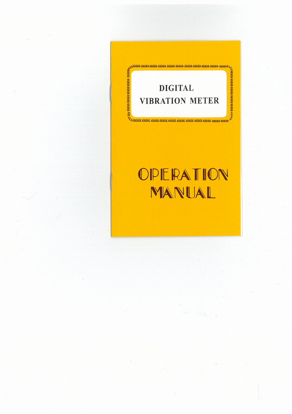

# OPERATION MANUAL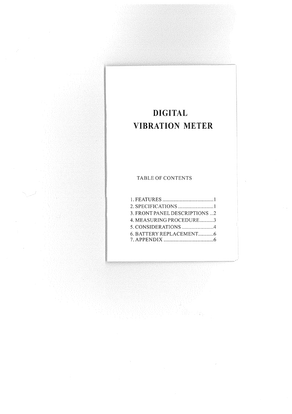## **DIGITAL VIBRATION METER**

### TABLE OF CONTENTS

| 3. FRONT PANEL DESCRIPTIONS 2 |  |
|-------------------------------|--|
| 4. MEASURING PROCEDURE3       |  |
| 5. CONSIDERATIONS 4           |  |
|                               |  |
|                               |  |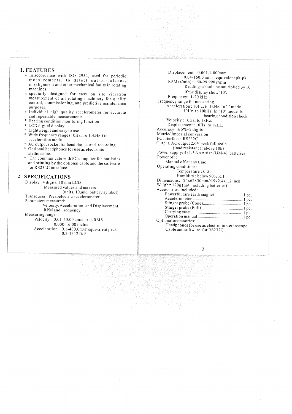#### 1. FEATURES

- \* In accordance with ISO 2954, used for periodic measurements, to detect out-of-balance, misalignment and other mechanical faults in rotating machines.
- specially designed for easy on site vibration measurement of all rotating machinery for quality control, commissioning, and predictive maintenance purposes.
- \* Individual high quality accelerometer for accurate and repeatable measurements
- Bearing condition monitoring function
- \* LCD digital display
- $*$  Lightweight and easy to use<br> $*$  Wide frequency range (1011)
- Wide frequency range (10Hz. To 10kHz.) in acceleration mode
- AC output socket for headphones and recording. \* Optional headphones for use as electronic stethoscope.
- Can communicate with PC computer for statistics and printing by the optional cable and the software for RS232C interface .

#### 2 SPECIFICATIONS

Display 4 digits, 18 mm LCD Measured values and makers (units, I0,and battery symbol) Transducer : Piezoelectric accelerometer Parameters measured: Velocity, Acceleration, and Displacement RPM and Frequency Measuring range Velocity : 0.01-40.00 cm/s true RMS 0.000-16.00 inch/s Acceleration :  $0.1-400.0$ m/s<sup>2</sup> equivalent peak

0.3-1312 ft/s2

 $\mathbf{1}$ 

Displacement : 0.001-4.000mm 0.04-160.0 mil , equivalent pk-pk RPM (r/min) : 60-99,990 r/min Readings should be multiplied by 10 if the display show '10'. Frequency: 1-20 kHz Frequency range for measuring Acceleration : 10Hz. to 1kHz. In '1' mode 10Hz. to 10kHz. In '10 mode for bearing condition check Velocity : 10Hz. to I kHz. Displacement : 10Hz. to I kHz. Accuracy:  $\pm 5\% + 2$  digits Metric/ Imperial conversion PC interface: RS232C Output: AC output 2.0V peak full scale (load resistance: above 10k) Power supply: 4x1.5 AAA size (UM-4) batteries Power off : Manual off at any time Operating conditions: Temperature : 0-50 Humidity : below 90% RH Dimensions: 124x62x30mm/4.9x2.4x1.2 inch Weight: 120g (not including batteries) Accessories included: Powerful rare earth magnet .................................1 pc. Accelerometer <sup>1</sup>pc. Stinger probe (Cone) 1 pc. Stinger probe (Ball) 1 pc. Carrying case 1 pc. Operation manual I pc. Optional accessories: Headphones for use as electronic stethoscope Cable and software for RS232C

2

.<br>Marting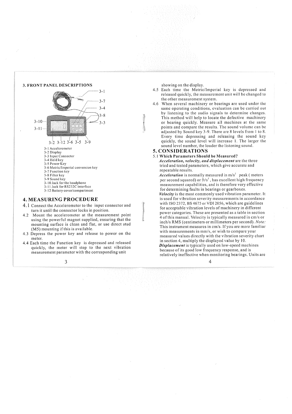

#### **4. MEASURING PROCEDURE**

- 4.1 Connect the Accelerometer to the input connector and turn it until the connector locks in position.
- 4.2 Mount the accelerometer at the measurement point using the powerful magnet supplied, ensuring that the mounting surface is clean and flat, or use direct stud (M5) mounting if this is available.
- 4.3 Depress the power key and release to power on the meter.
- 4.4 Each time the Function key is depressed and released quickly, the meter will step to the next vibration measurement parameter with the corresponding unit

3

showing on the display.

- 4.5 Each time the Metric/Imperial key is depressed and released quickly, the measurement unit will be changed to the other measurement system.
- 4.6 When several machinery or bearings are used under the same operating conditions, evaluation can be carried out by listening to the audio signals to determine changes. This method will help to locate the defective machinery or bearing quickly. Measure all machines at the same points and compare the results. The sound volume can be adjusted by Sound key 3-9. There are 8 levels from 1 to 8. Every time depressing and releasing the sound key quickly, the sound level will increase I. The larger the sound level number, the louder the listening sound.

#### **5. CONSIDERATIONS**

**5.1 Which Parameters Should be Measured? Acceleration,** *velocity, and displacement* are the three tried and tested parameters, which give accurate and repeatable results.

Acceleration is normally measured in m/s<sup>2</sup> peak (meters per second squared) or  $ft/s^2$ , has excellent high frequency measurement capabilities, and is therefore very effective for determining faults in bearings or gearboxes. *Velocity* is the most commonly used vibration parameter. It is used for vibration severity measurements in accordance with ISO 2372, BS 4675 or VDI 2056, which are guidelines for acceptable vibration levels of machinery in different power categories. These are presented as a table in section 4 of this manual. Velocity is typically measured in cm/s or inch/s RMS (centimeters or millimeters per second). *Note:*  This instrument measures in cm/s. If you are more familiar with measurements in mm/s, or wish to compare your measured values directly with the vibration severity chart in section 4, multiply the displayed value by 10. *Displacement* is typically used on low-speed machines because of its good low frequency response, and is relatively ineffective when monitoring bearings. Units are

4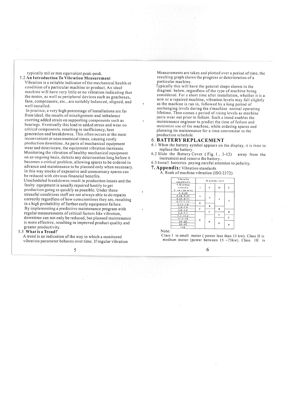typically mil or mm equivalent peak-peak. 5.2 **An Introduction** To Vibration Measurement

Vibration is a reliable indicator of the mechanical health or condition of a particular machine or product. An ideal machine will have very little or no vibration indicating that the motor, as well as peripheral devices such as gearboxes, fans, compressors, etc., are suitably balanced, aligned, and well installed.

In practice, a very high percentage of installations are far from ideal, the results of misalignment and imbalance exerting added strain on supporting components such as bearings. Eventually this lead to added stress and wear on critical components, resulting in inefficiency, heat generation and breakdowns. This often occurs at the most inconvenient or uneconomical times, causing costly production downtime. As parts of mechanical equipment wear and deteriorate, the equipment vibration increases. Monitoring the vibration of healthy mechanical equipment on an ongoing basis, detects any deterioration long before it becomes a critical problem, allowing spares to be ordered in advance and maintenance to be planned only when necessary. In this way stocks of expensive and unnecessary spares can be reduced with obvious financial benefits.

Unscheduled breakdowns result in production losses and the faulty equipment is usually repaired hastily to get production going as quickly as possible. Under these stressful conditions staff are not always able to do repairs correctly regardless of how conscientious they are, resulting in a high probability of further early equipment failure. By implementing a predictive maintenance program with regular measurements of critical factors like vibration, downtime can not only be reduced, but planned maintenance is more effective, resulting in improved product quality and greater productivity.

#### 5.3 What is a Trend?

A trend is an indication of the way in which a monitored vibration parameter behaves over time. If regular vibration

5

Measurements are taken and plotted over a period of time, the resulting graph shows the progress or deterioration of a particular machine.

Typically this will have the general shape shown in the diagram below, regardless of the type of machine being considered. For a short time after installation, whether it is a new or a repaired machine, vibration levels may fall slightly as the machine is run in, followed by a long period of unchanging levels during the s'machine normal operating lifetime. Then comes a period of rising levels as machine parts wear out prior to failure. Such a trend enables the maintenance engineer to predict the time of failure and maximize use of the machine, while ordering spares and planning its maintenance for a time convenient to the production schedule.

#### **6. BATTERY REPLACEMENT**

- 6.1 When the battery symbol appears on the display, it is time to replace the battery.
- 6.2 Slide the Battery Cover ( Fig. 1 , 3-12) away from the instrument and remove the battery..
- 6.3 Install batteries paying careful attention to polarity.

#### **7. Appendix:** Vibration standards

A. Rank of machine vibration (ISO 2372)

| Vibratio<br>am plitude                        |   |              | M achine sort |     |
|-----------------------------------------------|---|--------------|---------------|-----|
| Vibration<br>velocity<br>$V$ rm s (m m $/s$ ) |   | Ħ            | Ш             | IV. |
| $0 - 0.28$<br>$0.28 - 0.45$<br>$0.45 - 0.71$  | A | A            | А             |     |
| $0.71 - 1.12$<br>$1.12 - 1.8$                 | в | B            |               | A   |
| $1.8 - 2.8$<br>$2.8 - 4.5$                    | c | $\mathbf{C}$ | B             | B   |
| $4.5 - 7.1$<br>$7.1 - 11.2$                   | Đ |              | $\mathbf c$   | C   |
| $11.2 - 18$<br>$18 - 28$<br>$28 - 45$         |   | D            | D             |     |
| >4.5                                          |   |              |               | D   |

#### Note:

Class I is small motor (power less than  $15$  kw). Class II is medium motor (power between  $15 \sim 75$ kw). Class III is

#### 6